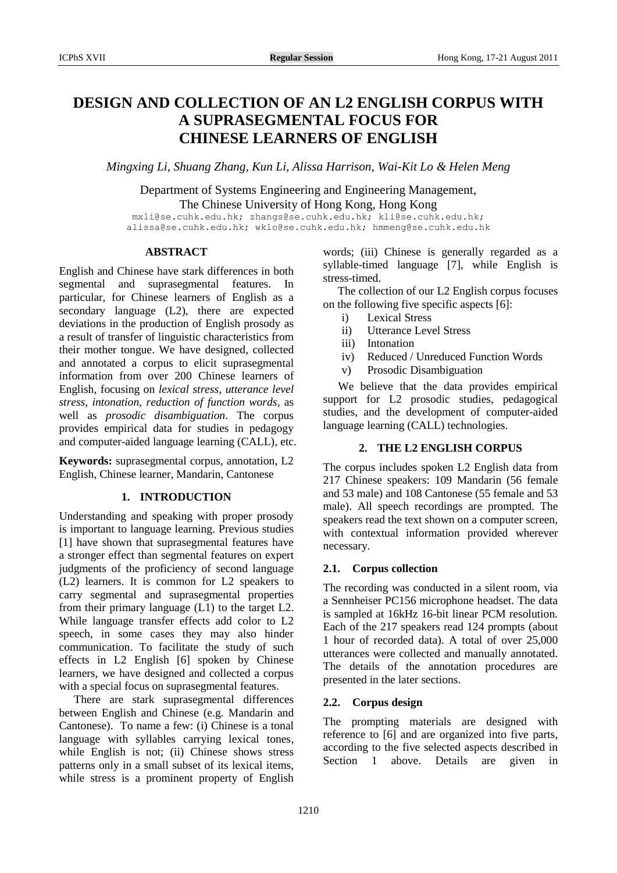# **DESIGN AND COLLECTION OF AN L2 ENGLISH CORPUS WITH A SUPRASEGMENTAL FOCUS FOR CHINESE LEARNERS OF ENGLISH**

*Mingxing Li, Shuang Zhang, Kun Li, Alissa Harrison, Wai-Kit Lo & Helen Meng*

Department of Systems Engineering and Engineering Management, The Chinese University of Hong Kong, Hong Kong

mxli@se.cuhk.edu.hk; zhangs@se.cuhk.edu.hk; kli@se.cuhk.edu.hk; alissa@se.cuhk.edu.hk; wklo@se.cuhk.edu.hk; hmmeng@se.cuhk.edu.hk

# **ABSTRACT**

English and Chinese have stark differences in both segmental and suprasegmental features. In particular, for Chinese learners of English as a secondary language (L2), there are expected deviations in the production of English prosody as a result of transfer of linguistic characteristics from their mother tongue. We have designed, collected and annotated a corpus to elicit suprasegmental information from over 200 Chinese learners of English, focusing on *lexical stress*, *utterance level stress*, *intonation*, *reduction of function words*, as well as *prosodic disambiguation*. The corpus provides empirical data for studies in pedagogy and computer-aided language learning (CALL), etc.

**Keywords:** suprasegmental corpus, annotation, L2 English, Chinese learner, Mandarin, Cantonese

# **1. INTRODUCTION**

Understanding and speaking with proper prosody is important to language learning. Previous studies [1] have shown that suprasegmental features have a stronger effect than segmental features on expert judgments of the proficiency of second language (L2) learners. It is common for L2 speakers to carry segmental and suprasegmental properties from their primary language (L1) to the target L2. While language transfer effects add color to L2 speech, in some cases they may also hinder communication. To facilitate the study of such effects in L2 English [6] spoken by Chinese learners, we have designed and collected a corpus with a special focus on suprasegmental features.

There are stark suprasegmental differences between English and Chinese (e.g. Mandarin and Cantonese). To name a few: (i) Chinese is a tonal language with syllables carrying lexical tones, while English is not; (ii) Chinese shows stress patterns only in a small subset of its lexical items, while stress is a prominent property of English words; (iii) Chinese is generally regarded as a syllable-timed language [7], while English is stress-timed.

The collection of our L2 English corpus focuses on the following five specific aspects [6]:

- i) Lexical Stress
- ii) Utterance Level Stress
- iii) Intonation
- iv) Reduced / Unreduced Function Words
- v) Prosodic Disambiguation

We believe that the data provides empirical support for L2 prosodic studies, pedagogical studies, and the development of computer-aided language learning (CALL) technologies.

# **2. THE L2 ENGLISH CORPUS**

The corpus includes spoken L2 English data from 217 Chinese speakers: 109 Mandarin (56 female and 53 male) and 108 Cantonese (55 female and 53 male). All speech recordings are prompted. The speakers read the text shown on a computer screen, with contextual information provided wherever necessary.

# **2.1. Corpus collection**

The recording was conducted in a silent room, via a Sennheiser PC156 microphone headset. The data is sampled at 16kHz 16-bit linear PCM resolution. Each of the 217 speakers read 124 prompts (about 1 hour of recorded data). A total of over 25,000 utterances were collected and manually annotated. The details of the annotation procedures are presented in the later sections.

# **2.2. Corpus design**

The prompting materials are designed with reference to [6] and are organized into five parts, according to the five selected aspects described in Section 1 above. Details are given in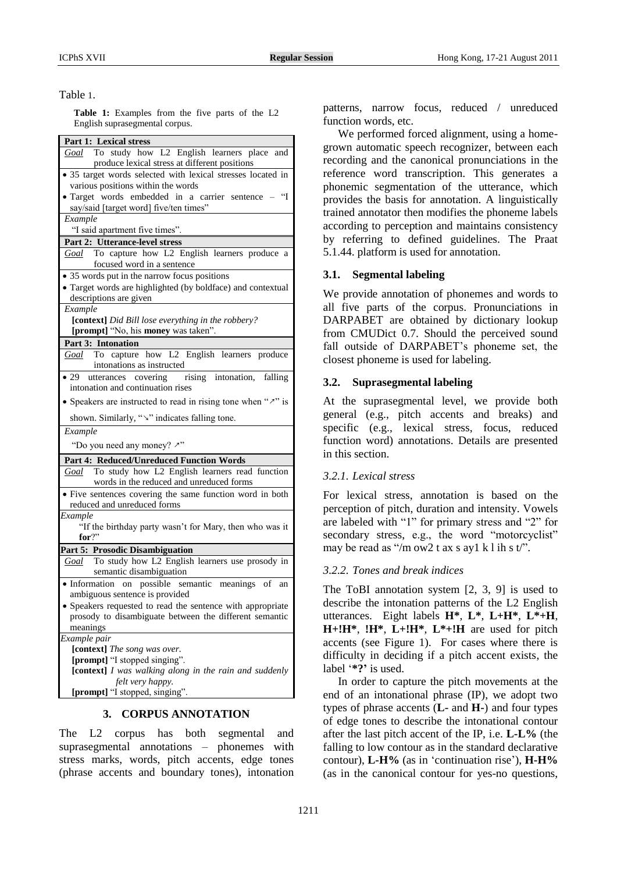#### Table 1.

**Table 1:** Examples from the five parts of the L2 English suprasegmental corpus.

| Part 1: Lexical stress                                                                           |  |  |  |  |  |  |
|--------------------------------------------------------------------------------------------------|--|--|--|--|--|--|
| Goal To study how L2 English learners place and<br>produce lexical stress at different positions |  |  |  |  |  |  |
| • 35 target words selected with lexical stresses located in                                      |  |  |  |  |  |  |
| various positions within the words                                                               |  |  |  |  |  |  |
| · Target words embedded in a carrier sentence - "I                                               |  |  |  |  |  |  |
| say/said [target word] five/ten times"                                                           |  |  |  |  |  |  |
| Example                                                                                          |  |  |  |  |  |  |
| "I said apartment five times".                                                                   |  |  |  |  |  |  |
| Part 2: Utterance-level stress                                                                   |  |  |  |  |  |  |
| Goal To capture how L2 English learners produce a                                                |  |  |  |  |  |  |
| focused word in a sentence                                                                       |  |  |  |  |  |  |
| • 35 words put in the narrow focus positions                                                     |  |  |  |  |  |  |
| · Target words are highlighted (by boldface) and contextual                                      |  |  |  |  |  |  |
| descriptions are given                                                                           |  |  |  |  |  |  |
| Example                                                                                          |  |  |  |  |  |  |
| [context] Did Bill lose everything in the robbery?                                               |  |  |  |  |  |  |
| [prompt] "No, his money was taken".                                                              |  |  |  |  |  |  |
| Part 3: Intonation                                                                               |  |  |  |  |  |  |
| To capture how L2 English learners produce<br>Goal<br>intonations as instructed                  |  |  |  |  |  |  |
| rising intonation, falling<br>$\bullet$ 29<br>utterances covering                                |  |  |  |  |  |  |
| intonation and continuation rises                                                                |  |  |  |  |  |  |
| • Speakers are instructed to read in rising tone when " $\nu$ " is                               |  |  |  |  |  |  |
| shown. Similarly, "v" indicates falling tone.                                                    |  |  |  |  |  |  |
| Example                                                                                          |  |  |  |  |  |  |
| "Do you need any money? "                                                                        |  |  |  |  |  |  |
| Part 4: Reduced/Unreduced Function Words                                                         |  |  |  |  |  |  |
| Goal To study how L2 English learners read function<br>words in the reduced and unreduced forms  |  |  |  |  |  |  |
| • Five sentences covering the same function word in both                                         |  |  |  |  |  |  |
| reduced and unreduced forms                                                                      |  |  |  |  |  |  |
| Example                                                                                          |  |  |  |  |  |  |
| "If the birthday party wasn't for Mary, then who was it                                          |  |  |  |  |  |  |
| for?"                                                                                            |  |  |  |  |  |  |
| Part 5: Prosodic Disambiguation                                                                  |  |  |  |  |  |  |
| Goal To study how L2 English learners use prosody in                                             |  |  |  |  |  |  |
| semantic disambiguation                                                                          |  |  |  |  |  |  |
| · Information on possible semantic meanings of an<br>ambiguous sentence is provided              |  |  |  |  |  |  |
| • Speakers requested to read the sentence with appropriate                                       |  |  |  |  |  |  |
| prosody to disambiguate between the different semantic                                           |  |  |  |  |  |  |
| meanings                                                                                         |  |  |  |  |  |  |
| Example pair                                                                                     |  |  |  |  |  |  |
| [context] The song was over.                                                                     |  |  |  |  |  |  |
| [prompt] "I stopped singing".                                                                    |  |  |  |  |  |  |
| [context] I was walking along in the rain and suddenly                                           |  |  |  |  |  |  |
|                                                                                                  |  |  |  |  |  |  |
| felt very happy.                                                                                 |  |  |  |  |  |  |

## **3. CORPUS ANNOTATION**

The L2 corpus has both segmental and suprasegmental annotations – phonemes with stress marks, words, pitch accents, edge tones (phrase accents and boundary tones), intonation patterns, narrow focus, reduced / unreduced function words, etc.

We performed forced alignment, using a homegrown automatic speech recognizer, between each recording and the canonical pronunciations in the reference word transcription. This generates a phonemic segmentation of the utterance, which provides the basis for annotation. A linguistically trained annotator then modifies the phoneme labels according to perception and maintains consistency by referring to defined guidelines. The Praat 5.1.44. platform is used for annotation.

## **3.1. Segmental labeling**

We provide annotation of phonemes and words to all five parts of the corpus. Pronunciations in DARPABET are obtained by dictionary lookup from CMUDict 0.7. Should the perceived sound fall outside of DARPABET's phoneme set, the closest phoneme is used for labeling.

## **3.2. Suprasegmental labeling**

At the suprasegmental level, we provide both general (e.g., pitch accents and breaks) and specific (e.g., lexical stress, focus, reduced function word) annotations. Details are presented in this section.

## *3.2.1. Lexical stress*

For lexical stress, annotation is based on the perception of pitch, duration and intensity. Vowels are labeled with "1" for primary stress and "2" for secondary stress, e.g., the word "motorcyclist" may be read as "/m ow2 t ax s ay1 k l ih s  $t$ ".

## *3.2.2. Tones and break indices*

The ToBI annotation system [2, 3, 9] is used to describe the intonation patterns of the L2 English utterances. Eight labels **H\***, **L\***, **L+H\***, **L\*+H**, **H+!H\***, **!H\***, **L+!H\***, **L\*+!H** are used for pitch accents (see Figure 1). For cases where there is difficulty in deciding if a pitch accent exists, the label '**\*?'** is used.

In order to capture the pitch movements at the end of an intonational phrase (IP), we adopt two types of phrase accents (**L-** and **H-**) and four types of edge tones to describe the intonational contour after the last pitch accent of the IP, i.e. **L-L%** (the falling to low contour as in the standard declarative contour), **L-H%** (as in 'continuation rise'), **H-H%** (as in the canonical contour for yes-no questions,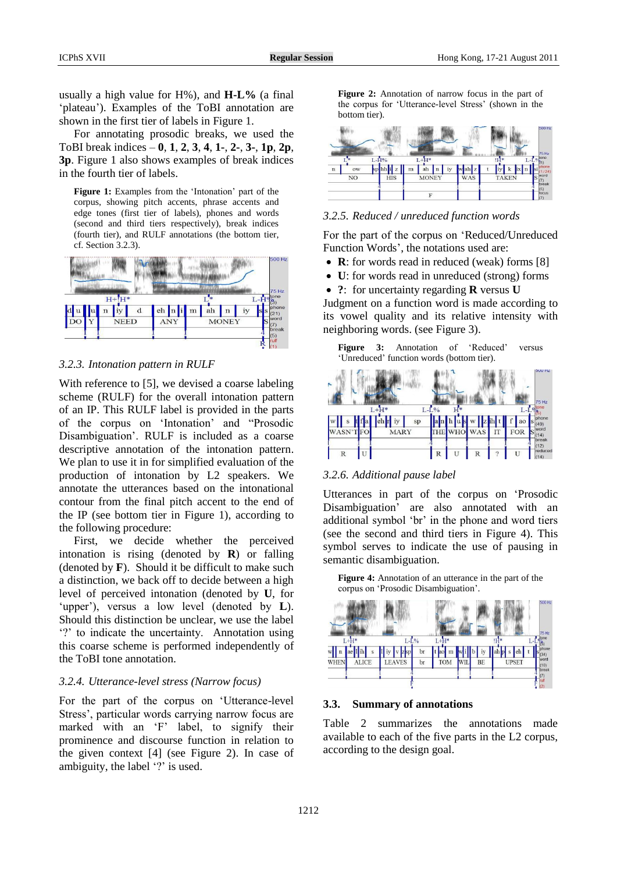usually a high value for H%), and **H-L%** (a final 'plateau'). Examples of the ToBI annotation are shown in the first tier of labels in Figure 1.

For annotating prosodic breaks, we used the ToBI break indices – **0**, **1**, **2**, **3**, **4**, **1-**, **2-**, **3-**, **1p**, **2p**, **3p**. Figure 1 also shows examples of break indices in the fourth tier of labels.

**Figure 1:** Examples from the 'Intonation' part of the corpus, showing pitch accents, phrase accents and edge tones (first tier of labels), phones and words (second and third tiers respectively), break indices (fourth tier), and RULF annotations (the bottom tier, cf. Section 3.2.3).



*3.2.3. Intonation pattern in RULF*

With reference to [5], we devised a coarse labeling scheme (RULF) for the overall intonation pattern of an IP. This RULF label is provided in the parts of the corpus on 'Intonation' and "Prosodic Disambiguation'. RULF is included as a coarse descriptive annotation of the intonation pattern. We plan to use it in for simplified evaluation of the production of intonation by L2 speakers. We annotate the utterances based on the intonational contour from the final pitch accent to the end of the IP (see bottom tier in Figure 1), according to the following procedure:

First, we decide whether the perceived intonation is rising (denoted by **R**) or falling (denoted by  $\bf{F}$ ). Should it be difficult to make such a distinction, we back off to decide between a high level of perceived intonation (denoted by **U**, for 'upper'), versus a low level (denoted by **L**). Should this distinction be unclear, we use the label '?' to indicate the uncertainty. Annotation using this coarse scheme is performed independently of the ToBI tone annotation.

# *3.2.4. Utterance-level stress (Narrow focus)*

For the part of the corpus on 'Utterance-level Stress', particular words carrying narrow focus are marked with an 'F' label, to signify their prominence and discourse function in relation to the given context [4] (see Figure 2). In case of ambiguity, the label '?' is used.

Figure 2: Annotation of narrow focus in the part of the corpus for 'Utterance-level Stress' (shown in the bottom tier).



## *3.2.5. Reduced / unreduced function words*

For the part of the corpus on 'Reduced/Unreduced Function Words', the notations used are:

- **R**: for words read in reduced (weak) forms [8]
- **U**: for words read in unreduced (strong) forms
- **?**: for uncertainty regarding **R** versus **U**

Judgment on a function word is made according to its vowel quality and its relative intensity with neighboring words. (see Figure 3).





#### *3.2.6. Additional pause label*

Utterances in part of the corpus on 'Prosodic Disambiguation' are also annotated with an additional symbol 'br' in the phone and word tiers (see the second and third tiers in Figure 4). This symbol serves to indicate the use of pausing in semantic disambiguation.

**Figure 4:** Annotation of an utterance in the part of the corpus on 'Prosodic Disambiguation'.



#### **3.3. Summary of annotations**

Table 2 summarizes the annotations made available to each of the five parts in the L2 corpus, according to the design goal.